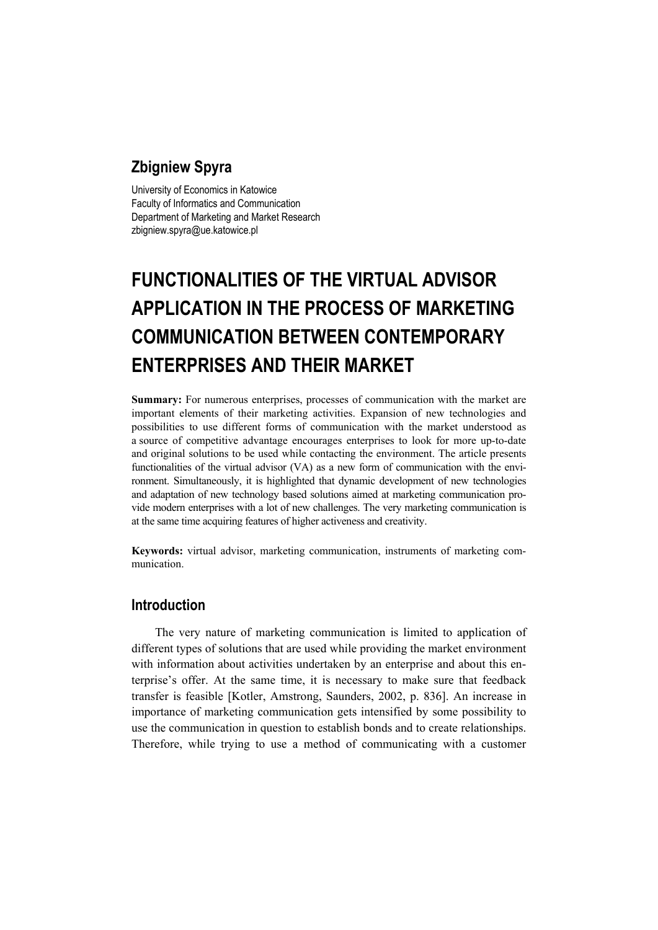# **Zbigniew Spyra**

University of Economics in Katowice Faculty of Informatics and Communication Department of Marketing and Market Research zbigniew.spyra@ue.katowice.pl

# **FUNCTIONALITIES OF THE VIRTUAL ADVISOR APPLICATION IN THE PROCESS OF MARKETING COMMUNICATION BETWEEN CONTEMPORARY ENTERPRISES AND THEIR MARKET**

**Summary:** For numerous enterprises, processes of communication with the market are important elements of their marketing activities. Expansion of new technologies and possibilities to use different forms of communication with the market understood as a source of competitive advantage encourages enterprises to look for more up-to-date and original solutions to be used while contacting the environment. The article presents functionalities of the virtual advisor (VA) as a new form of communication with the environment. Simultaneously, it is highlighted that dynamic development of new technologies and adaptation of new technology based solutions aimed at marketing communication provide modern enterprises with a lot of new challenges. The very marketing communication is at the same time acquiring features of higher activeness and creativity.

**Keywords:** virtual advisor, marketing communication, instruments of marketing communication.

## **Introduction**

The very nature of marketing communication is limited to application of different types of solutions that are used while providing the market environment with information about activities undertaken by an enterprise and about this enterprise's offer. At the same time, it is necessary to make sure that feedback transfer is feasible [Kotler, Amstrong, Saunders, 2002, p. 836]. An increase in importance of marketing communication gets intensified by some possibility to use the communication in question to establish bonds and to create relationships. Therefore, while trying to use a method of communicating with a customer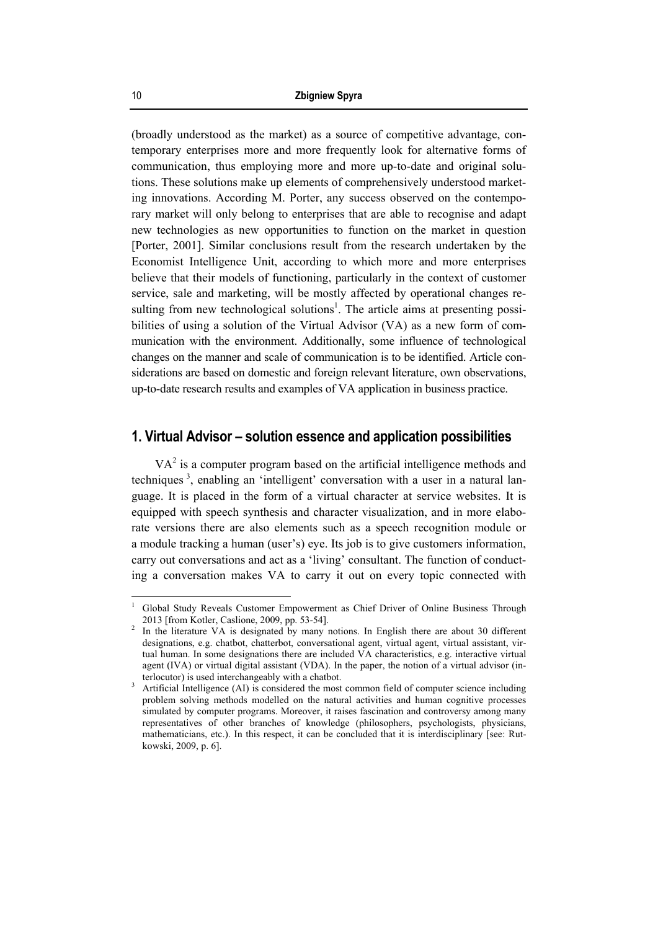(broadly understood as the market) as a source of competitive advantage, contemporary enterprises more and more frequently look for alternative forms of communication, thus employing more and more up-to-date and original solutions. These solutions make up elements of comprehensively understood marketing innovations. According M. Porter, any success observed on the contemporary market will only belong to enterprises that are able to recognise and adapt new technologies as new opportunities to function on the market in question [Porter, 2001]. Similar conclusions result from the research undertaken by the Economist Intelligence Unit, according to which more and more enterprises believe that their models of functioning, particularly in the context of customer service, sale and marketing, will be mostly affected by operational changes resulting from new technological solutions<sup>1</sup>. The article aims at presenting possibilities of using a solution of the Virtual Advisor (VA) as a new form of communication with the environment. Additionally, some influence of technological changes on the manner and scale of communication is to be identified. Article considerations are based on domestic and foreign relevant literature, own observations, up-to-date research results and examples of VA application in business practice.

#### **1. Virtual Advisor – solution essence and application possibilities**

 $VA<sup>2</sup>$  is a computer program based on the artificial intelligence methods and techniques<sup>3</sup>, enabling an 'intelligent' conversation with a user in a natural language. It is placed in the form of a virtual character at service websites. It is equipped with speech synthesis and character visualization, and in more elaborate versions there are also elements such as a speech recognition module or a module tracking a human (user's) eye. Its job is to give customers information, carry out conversations and act as a 'living' consultant. The function of conducting a conversation makes VA to carry it out on every topic connected with

<sup>1</sup> Global Study Reveals Customer Empowerment as Chief Driver of Online Business Through 2013 [from Kotler, Caslione, 2009, pp. 53-54].

In the literature VA is designated by many notions. In English there are about 30 different designations, e.g. chatbot, chatterbot, conversational agent, virtual agent, virtual assistant, virtual human. In some designations there are included VA characteristics, e.g. interactive virtual agent (IVA) or virtual digital assistant (VDA). In the paper, the notion of a virtual advisor (interlocutor) is used interchangeably with a chatbot.

Artificial Intelligence (AI) is considered the most common field of computer science including problem solving methods modelled on the natural activities and human cognitive processes simulated by computer programs. Moreover, it raises fascination and controversy among many representatives of other branches of knowledge (philosophers, psychologists, physicians, mathematicians, etc.). In this respect, it can be concluded that it is interdisciplinary [see: Rutkowski, 2009, p. 6].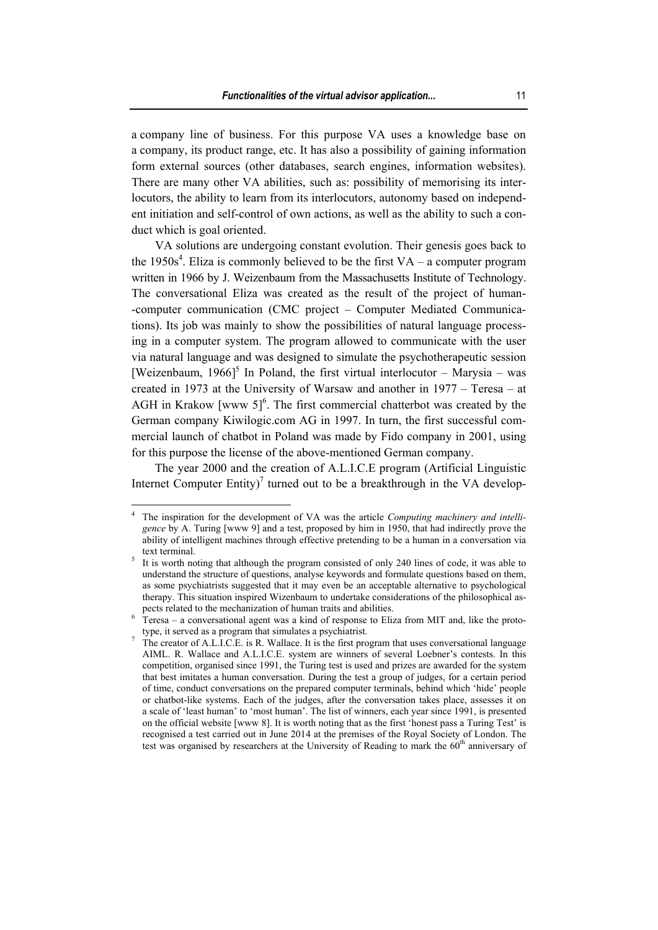a company line of business. For this purpose VA uses a knowledge base on a company, its product range, etc. It has also a possibility of gaining information form external sources (other databases, search engines, information websites). There are many other VA abilities, such as: possibility of memorising its interlocutors, the ability to learn from its interlocutors, autonomy based on independent initiation and self-control of own actions, as well as the ability to such a conduct which is goal oriented.

VA solutions are undergoing constant evolution. Their genesis goes back to the 1950s<sup>4</sup>. Eliza is commonly believed to be the first  $VA - a$  computer program written in 1966 by J. Weizenbaum from the Massachusetts Institute of Technology. The conversational Eliza was created as the result of the project of human- -computer communication (CMC project – Computer Mediated Communications). Its job was mainly to show the possibilities of natural language processing in a computer system. The program allowed to communicate with the user via natural language and was designed to simulate the psychotherapeutic session [Weizenbaum, 1966]<sup>5</sup> In Poland, the first virtual interlocutor – Marysia – was created in 1973 at the University of Warsaw and another in 1977 – Teresa – at AGH in Krakow [www 5]<sup>6</sup>. The first commercial chatterbot was created by the German company Kiwilogic.com AG in 1997. In turn, the first successful commercial launch of chatbot in Poland was made by Fido company in 2001, using for this purpose the license of the above-mentioned German company.

The year 2000 and the creation of A.L.I.C.E program (Artificial Linguistic Internet Computer Entity)<sup>7</sup> turned out to be a breakthrough in the VA develop-

 4 The inspiration for the development of VA was the article *Computing machinery and intelligence* by A. Turing [www 9] and a test, proposed by him in 1950, that had indirectly prove the ability of intelligent machines through effective pretending to be a human in a conversation via text terminal.

It is worth noting that although the program consisted of only 240 lines of code, it was able to understand the structure of questions, analyse keywords and formulate questions based on them, as some psychiatrists suggested that it may even be an acceptable alternative to psychological therapy. This situation inspired Wizenbaum to undertake considerations of the philosophical as-

pects related to the mechanization of human traits and abilities.<br><sup>6</sup> Teresa – a conversational agent was a kind of response to Eliza from MIT and, like the prototype, it served as a program that simulates a psychiatrist.

 $T$  The creator of A.L.I.C.E. is R. Wallace. It is the first program that uses conversational language AIML. R. Wallace and A.L.I.C.E. system are winners of several Loebner's contests. In this competition, organised since 1991, the Turing test is used and prizes are awarded for the system that best imitates a human conversation. During the test a group of judges, for a certain period of time, conduct conversations on the prepared computer terminals, behind which 'hide' people or chatbot-like systems. Each of the judges, after the conversation takes place, assesses it on a scale of 'least human' to 'most human'. The list of winners, each year since 1991, is presented on the official website [www 8]. It is worth noting that as the first 'honest pass a Turing Test' is recognised a test carried out in June 2014 at the premises of the Royal Society of London. The test was organised by researchers at the University of Reading to mark the  $60<sup>th</sup>$  anniversary of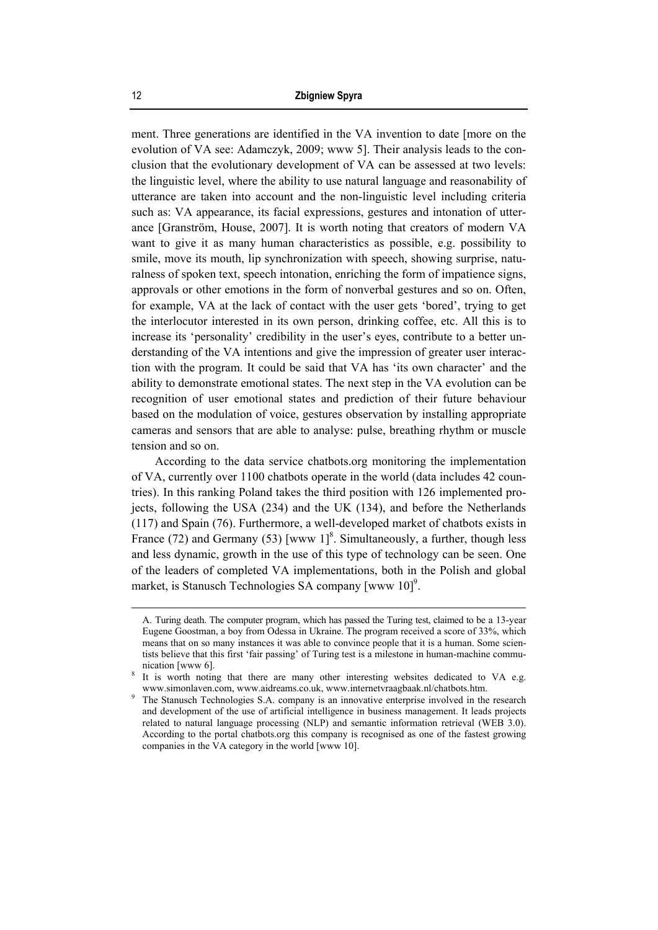ment. Three generations are identified in the VA invention to date [more on the evolution of VA see: Adamczyk, 2009; www 5]. Their analysis leads to the conclusion that the evolutionary development of VA can be assessed at two levels: the linguistic level, where the ability to use natural language and reasonability of utterance are taken into account and the non-linguistic level including criteria such as: VA appearance, its facial expressions, gestures and intonation of utterance [Granström, House, 2007]. It is worth noting that creators of modern VA want to give it as many human characteristics as possible, e.g. possibility to smile, move its mouth, lip synchronization with speech, showing surprise, naturalness of spoken text, speech intonation, enriching the form of impatience signs, approvals or other emotions in the form of nonverbal gestures and so on. Often, for example, VA at the lack of contact with the user gets 'bored', trying to get the interlocutor interested in its own person, drinking coffee, etc. All this is to increase its 'personality' credibility in the user's eyes, contribute to a better understanding of the VA intentions and give the impression of greater user interaction with the program. It could be said that VA has 'its own character' and the ability to demonstrate emotional states. The next step in the VA evolution can be recognition of user emotional states and prediction of their future behaviour based on the modulation of voice, gestures observation by installing appropriate cameras and sensors that are able to analyse: pulse, breathing rhythm or muscle tension and so on.

According to the data service chatbots.org monitoring the implementation of VA, currently over 1100 chatbots operate in the world (data includes 42 countries). In this ranking Poland takes the third position with 126 implemented projects, following the USA (234) and the UK (134), and before the Netherlands (117) and Spain (76). Furthermore, a well-developed market of chatbots exists in France (72) and Germany (53) [www  $1$ ]<sup>8</sup>. Simultaneously, a further, though less and less dynamic, growth in the use of this type of technology can be seen. One of the leaders of completed VA implementations, both in the Polish and global market, is Stanusch Technologies SA company [www  $10$ ]<sup>9</sup>.

1

A. Turing death. The computer program, which has passed the Turing test, claimed to be a 13-year Eugene Goostman, a boy from Odessa in Ukraine. The program received a score of 33%, which means that on so many instances it was able to convince people that it is a human. Some scientists believe that this first 'fair passing' of Turing test is a milestone in human-machine communication [www 6].

It is worth noting that there are many other interesting websites dedicated to VA e.g. www.simonlaven.com, www.aidreams.co.uk, www.internetvraagbaak.nl/chatbots.htm. 9

The Stanusch Technologies S.A. company is an innovative enterprise involved in the research and development of the use of artificial intelligence in business management. It leads projects related to natural language processing (NLP) and semantic information retrieval (WEB 3.0). According to the portal chatbots.org this company is recognised as one of the fastest growing companies in the VA category in the world [www 10].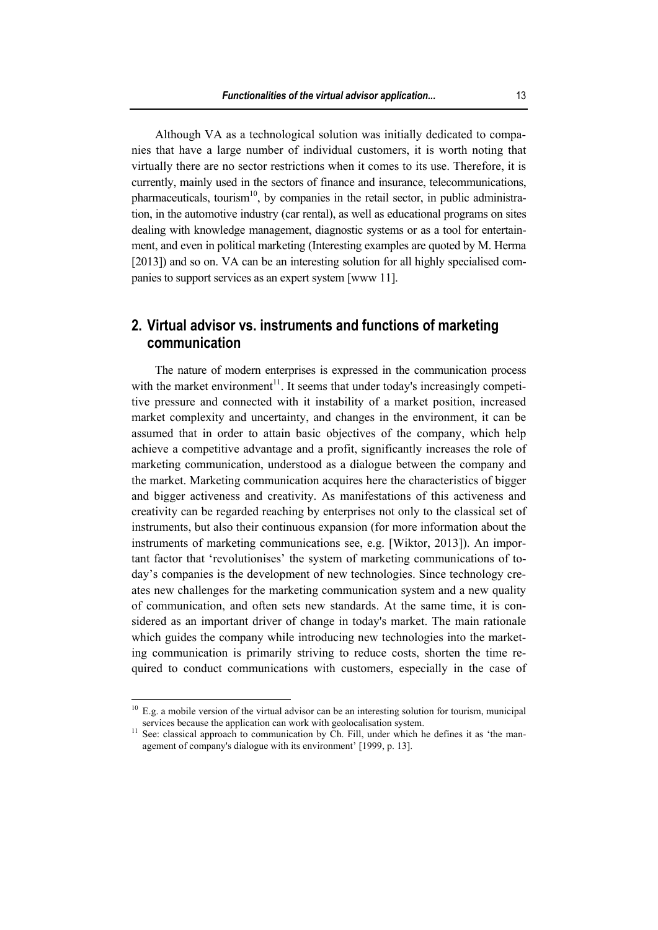Although VA as a technological solution was initially dedicated to companies that have a large number of individual customers, it is worth noting that virtually there are no sector restrictions when it comes to its use. Therefore, it is currently, mainly used in the sectors of finance and insurance, telecommunications, pharmaceuticals, tourism<sup>10</sup>, by companies in the retail sector, in public administration, in the automotive industry (car rental), as well as educational programs on sites dealing with knowledge management, diagnostic systems or as a tool for entertainment, and even in political marketing (Interesting examples are quoted by M. Herma [2013]) and so on. VA can be an interesting solution for all highly specialised companies to support services as an expert system [www 11].

## **2. Virtual advisor vs. instruments and functions of marketing communication**

The nature of modern enterprises is expressed in the communication process with the market environment<sup>11</sup>. It seems that under today's increasingly competitive pressure and connected with it instability of a market position, increased market complexity and uncertainty, and changes in the environment, it can be assumed that in order to attain basic objectives of the company, which help achieve a competitive advantage and a profit, significantly increases the role of marketing communication, understood as a dialogue between the company and the market. Marketing communication acquires here the characteristics of bigger and bigger activeness and creativity. As manifestations of this activeness and creativity can be regarded reaching by enterprises not only to the classical set of instruments, but also their continuous expansion (for more information about the instruments of marketing communications see, e.g. [Wiktor, 2013]). An important factor that 'revolutionises' the system of marketing communications of today's companies is the development of new technologies. Since technology creates new challenges for the marketing communication system and a new quality of communication, and often sets new standards. At the same time, it is considered as an important driver of change in today's market. The main rationale which guides the company while introducing new technologies into the marketing communication is primarily striving to reduce costs, shorten the time required to conduct communications with customers, especially in the case of

 $10$  E.g. a mobile version of the virtual advisor can be an interesting solution for tourism, municipal services because the application can work with geolocalisation system.<br><sup>11</sup> See: classical approach to communication by Ch. Fill, under which he defines it as 'the man-

agement of company's dialogue with its environment' [1999, p. 13].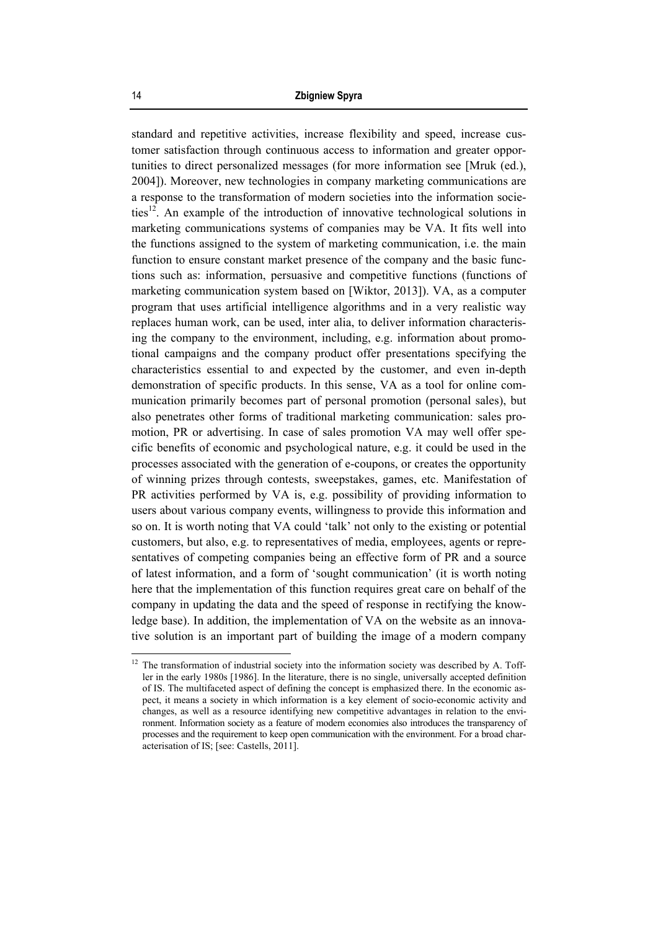standard and repetitive activities, increase flexibility and speed, increase customer satisfaction through continuous access to information and greater opportunities to direct personalized messages (for more information see [Mruk (ed.), 2004]). Moreover, new technologies in company marketing communications are a response to the transformation of modern societies into the information societies<sup>12</sup>. An example of the introduction of innovative technological solutions in marketing communications systems of companies may be VA. It fits well into the functions assigned to the system of marketing communication, i.e. the main function to ensure constant market presence of the company and the basic functions such as: information, persuasive and competitive functions (functions of marketing communication system based on [Wiktor, 2013]). VA, as a computer program that uses artificial intelligence algorithms and in a very realistic way replaces human work, can be used, inter alia, to deliver information characterising the company to the environment, including, e.g. information about promotional campaigns and the company product offer presentations specifying the characteristics essential to and expected by the customer, and even in-depth demonstration of specific products. In this sense, VA as a tool for online communication primarily becomes part of personal promotion (personal sales), but also penetrates other forms of traditional marketing communication: sales promotion, PR or advertising. In case of sales promotion VA may well offer specific benefits of economic and psychological nature, e.g. it could be used in the processes associated with the generation of e-coupons, or creates the opportunity of winning prizes through contests, sweepstakes, games, etc. Manifestation of PR activities performed by VA is, e.g. possibility of providing information to users about various company events, willingness to provide this information and so on. It is worth noting that VA could 'talk' not only to the existing or potential customers, but also, e.g. to representatives of media, employees, agents or representatives of competing companies being an effective form of PR and a source of latest information, and a form of 'sought communication' (it is worth noting here that the implementation of this function requires great care on behalf of the company in updating the data and the speed of response in rectifying the knowledge base). In addition, the implementation of VA on the website as an innovative solution is an important part of building the image of a modern company

 $12$  The transformation of industrial society into the information society was described by A. Toffler in the early 1980s [1986]. In the literature, there is no single, universally accepted definition of IS. The multifaceted aspect of defining the concept is emphasized there. In the economic aspect, it means a society in which information is a key element of socio-economic activity and changes, as well as a resource identifying new competitive advantages in relation to the environment. Information society as a feature of modern economies also introduces the transparency of processes and the requirement to keep open communication with the environment. For a broad characterisation of IS; [see: Castells, 2011].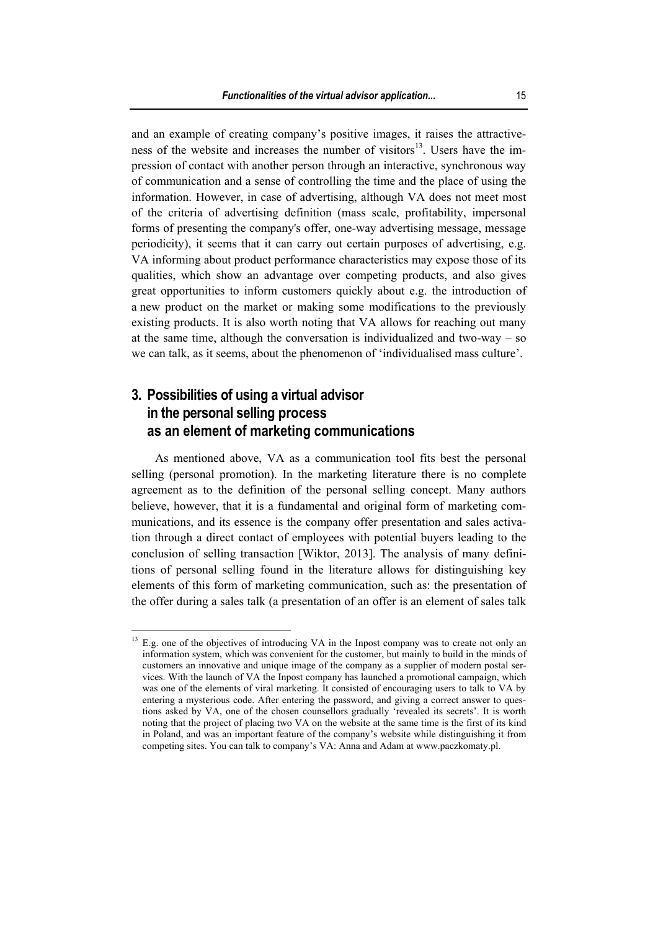and an example of creating company's positive images, it raises the attractiveness of the website and increases the number of visitors $13$ . Users have the impression of contact with another person through an interactive, synchronous way of communication and a sense of controlling the time and the place of using the information. However, in case of advertising, although VA does not meet most of the criteria of advertising definition (mass scale, profitability, impersonal forms of presenting the company's offer, one-way advertising message, message periodicity), it seems that it can carry out certain purposes of advertising, e.g. VA informing about product performance characteristics may expose those of its qualities, which show an advantage over competing products, and also gives great opportunities to inform customers quickly about e.g. the introduction of a new product on the market or making some modifications to the previously existing products. It is also worth noting that VA allows for reaching out many at the same time, although the conversation is individualized and two-way – so we can talk, as it seems, about the phenomenon of 'individualised mass culture'.

## **3. Possibilities of using a virtual advisor in the personal selling process as an element of marketing communications**

 $\overline{a}$ 

As mentioned above, VA as a communication tool fits best the personal selling (personal promotion). In the marketing literature there is no complete agreement as to the definition of the personal selling concept. Many authors believe, however, that it is a fundamental and original form of marketing communications, and its essence is the company offer presentation and sales activation through a direct contact of employees with potential buyers leading to the conclusion of selling transaction [Wiktor, 2013]. The analysis of many definitions of personal selling found in the literature allows for distinguishing key elements of this form of marketing communication, such as: the presentation of the offer during a sales talk (a presentation of an offer is an element of sales talk

<sup>&</sup>lt;sup>13</sup> E.g. one of the objectives of introducing VA in the Inpost company was to create not only an information system, which was convenient for the customer, but mainly to build in the minds of customers an innovative and unique image of the company as a supplier of modern postal services. With the launch of VA the Inpost company has launched a promotional campaign, which was one of the elements of viral marketing. It consisted of encouraging users to talk to VA by entering a mysterious code. After entering the password, and giving a correct answer to questions asked by VA, one of the chosen counsellors gradually 'revealed its secrets'. It is worth noting that the project of placing two VA on the website at the same time is the first of its kind in Poland, and was an important feature of the company's website while distinguishing it from competing sites. You can talk to company's VA: Anna and Adam at www.paczkomaty.pl.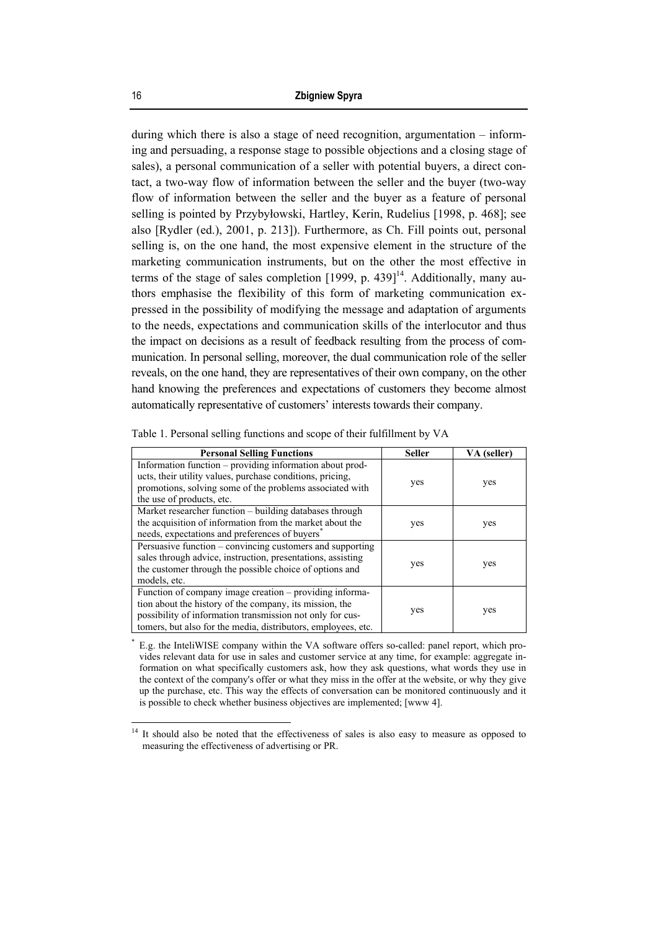during which there is also a stage of need recognition, argumentation – informing and persuading, a response stage to possible objections and a closing stage of sales), a personal communication of a seller with potential buyers, a direct contact, a two-way flow of information between the seller and the buyer (two-way flow of information between the seller and the buyer as a feature of personal selling is pointed by Przybyłowski, Hartley, Kerin, Rudelius [1998, p. 468]; see also [Rydler (ed.), 2001, p. 213]). Furthermore, as Ch. Fill points out, personal selling is, on the one hand, the most expensive element in the structure of the marketing communication instruments, but on the other the most effective in terms of the stage of sales completion  $[1999, p. 439]$ <sup>14</sup>. Additionally, many authors emphasise the flexibility of this form of marketing communication expressed in the possibility of modifying the message and adaptation of arguments to the needs, expectations and communication skills of the interlocutor and thus the impact on decisions as a result of feedback resulting from the process of communication. In personal selling, moreover, the dual communication role of the seller reveals, on the one hand, they are representatives of their own company, on the other hand knowing the preferences and expectations of customers they become almost automatically representative of customers' interests towards their company.

| <b>Personal Selling Functions</b>                                                                                                                                                                                                                | <b>Seller</b> | VA (seller) |  |  |
|--------------------------------------------------------------------------------------------------------------------------------------------------------------------------------------------------------------------------------------------------|---------------|-------------|--|--|
| Information function - providing information about prod-<br>ucts, their utility values, purchase conditions, pricing,<br>promotions, solving some of the problems associated with<br>the use of products, etc.                                   | yes           | yes         |  |  |
| Market researcher function - building databases through<br>the acquisition of information from the market about the<br>needs, expectations and preferences of buyers                                                                             | yes           | yes         |  |  |
| Persuasive function – convincing customers and supporting<br>sales through advice, instruction, presentations, assisting<br>the customer through the possible choice of options and<br>models, etc.                                              | yes           | yes         |  |  |
| Function of company image creation – providing informa-<br>tion about the history of the company, its mission, the<br>possibility of information transmission not only for cus-<br>tomers, but also for the media, distributors, employees, etc. | yes           | yes         |  |  |

Table 1. Personal selling functions and scope of their fulfillment by VA

\* E.g. the InteliWISE company within the VA software offers so-called: panel report, which provides relevant data for use in sales and customer service at any time, for example: aggregate information on what specifically customers ask, how they ask questions, what words they use in the context of the company's offer or what they miss in the offer at the website, or why they give up the purchase, etc. This way the effects of conversation can be monitored continuously and it is possible to check whether business objectives are implemented; [www 4].

<sup>14</sup> It should also be noted that the effectiveness of sales is also easy to measure as opposed to measuring the effectiveness of advertising or PR.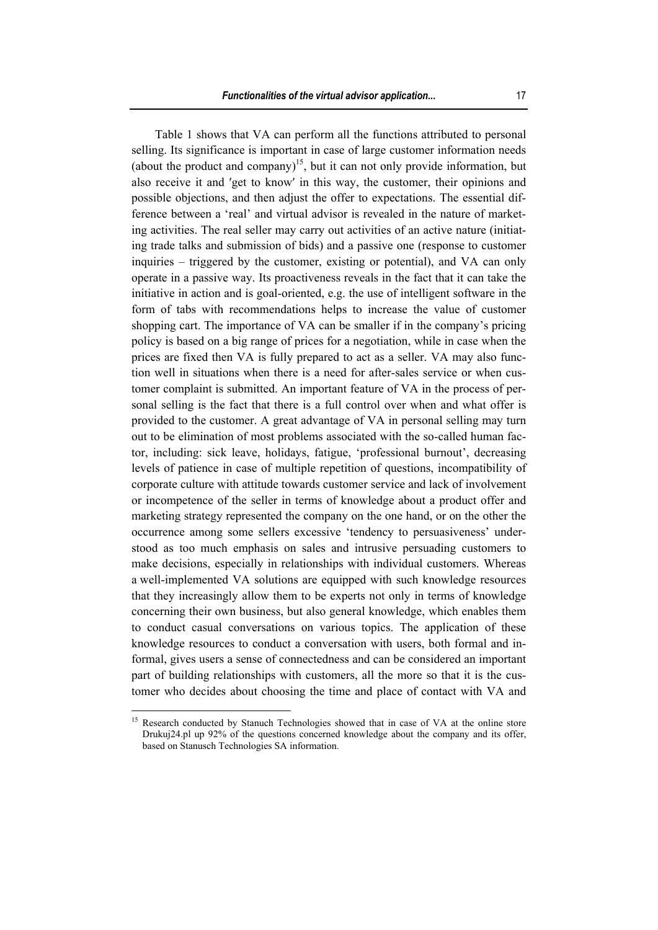Table 1 shows that VA can perform all the functions attributed to personal selling. Its significance is important in case of large customer information needs (about the product and company)<sup>15</sup>, but it can not only provide information, but also receive it and ′get to know′ in this way, the customer, their opinions and possible objections, and then adjust the offer to expectations. The essential difference between a 'real' and virtual advisor is revealed in the nature of marketing activities. The real seller may carry out activities of an active nature (initiating trade talks and submission of bids) and a passive one (response to customer inquiries – triggered by the customer, existing or potential), and VA can only operate in a passive way. Its proactiveness reveals in the fact that it can take the initiative in action and is goal-oriented, e.g. the use of intelligent software in the form of tabs with recommendations helps to increase the value of customer shopping cart. The importance of VA can be smaller if in the company's pricing policy is based on a big range of prices for a negotiation, while in case when the prices are fixed then VA is fully prepared to act as a seller. VA may also function well in situations when there is a need for after-sales service or when customer complaint is submitted. An important feature of VA in the process of personal selling is the fact that there is a full control over when and what offer is provided to the customer. A great advantage of VA in personal selling may turn out to be elimination of most problems associated with the so-called human factor, including: sick leave, holidays, fatigue, 'professional burnout', decreasing levels of patience in case of multiple repetition of questions, incompatibility of corporate culture with attitude towards customer service and lack of involvement or incompetence of the seller in terms of knowledge about a product offer and marketing strategy represented the company on the one hand, or on the other the occurrence among some sellers excessive 'tendency to persuasiveness' understood as too much emphasis on sales and intrusive persuading customers to make decisions, especially in relationships with individual customers. Whereas a well-implemented VA solutions are equipped with such knowledge resources that they increasingly allow them to be experts not only in terms of knowledge concerning their own business, but also general knowledge, which enables them to conduct casual conversations on various topics. The application of these knowledge resources to conduct a conversation with users, both formal and informal, gives users a sense of connectedness and can be considered an important part of building relationships with customers, all the more so that it is the customer who decides about choosing the time and place of contact with VA and

<sup>&</sup>lt;sup>15</sup> Research conducted by Stanuch Technologies showed that in case of VA at the online store Drukuj24.pl up 92% of the questions concerned knowledge about the company and its offer, based on Stanusch Technologies SA information.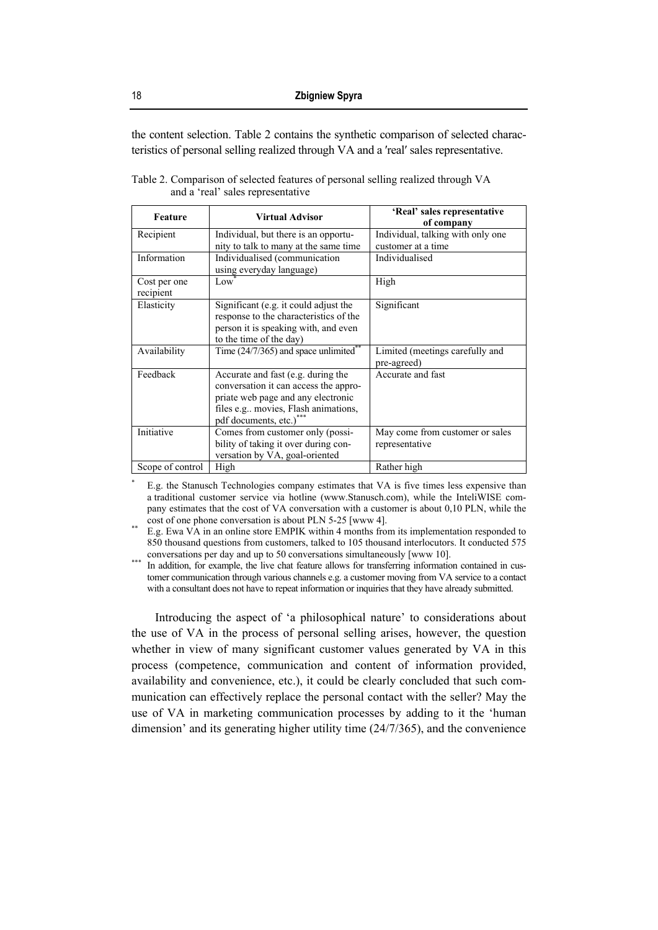the content selection. Table 2 contains the synthetic comparison of selected characteristics of personal selling realized through VA and a ′real′ sales representative.

| Feature                   | <b>Virtual Advisor</b>                                                                                                                                                              | 'Real' sales representative<br>of company               |
|---------------------------|-------------------------------------------------------------------------------------------------------------------------------------------------------------------------------------|---------------------------------------------------------|
| Recipient                 | Individual, but there is an opportu-<br>nity to talk to many at the same time                                                                                                       | Individual, talking with only one<br>customer at a time |
| Information               | Individualised (communication<br>using everyday language)                                                                                                                           | Individualised                                          |
| Cost per one<br>recipient | Low                                                                                                                                                                                 | High                                                    |
| Elasticity                | Significant (e.g. it could adjust the<br>response to the characteristics of the<br>person it is speaking with, and even<br>to the time of the day)                                  | Significant                                             |
| Availability              | Time $(24/7/365)$ and space unlimited                                                                                                                                               | Limited (meetings carefully and<br>pre-agreed)          |
| Feedback                  | Accurate and fast (e.g. during the<br>conversation it can access the appro-<br>priate web page and any electronic<br>files e.g movies, Flash animations,<br>pdf documents, etc.)*** | Accurate and fast                                       |
| Initiative                | Comes from customer only (possi-<br>bility of taking it over during con-<br>versation by VA, goal-oriented                                                                          | May come from customer or sales<br>representative       |
| Scope of control          | High                                                                                                                                                                                | Rather high                                             |

Table 2. Comparison of selected features of personal selling realized through VA and a 'real' sales representative

 E.g. the Stanusch Technologies company estimates that VA is five times less expensive than a traditional customer service via hotline (www.Stanusch.com), while the InteliWISE company estimates that the cost of VA conversation with a customer is about 0,10 PLN, while the

cost of one phone conversation is about PLN 5-25 [www 4].<br>E.g. Ewa VA in an online store EMPIK within 4 months from its implementation responded to 850 thousand questions from customers, talked to 105 thousand interlocutors. It conducted 575

conversations per day and up to 50 conversations simultaneously [www 10].<br>In addition, for example, the live chat feature allows for transferring information contained in customer communication through various channels e.g. a customer moving from VA service to a contact with a consultant does not have to repeat information or inquiries that they have already submitted.

Introducing the aspect of 'a philosophical nature' to considerations about the use of VA in the process of personal selling arises, however, the question whether in view of many significant customer values generated by VA in this process (competence, communication and content of information provided, availability and convenience, etc.), it could be clearly concluded that such communication can effectively replace the personal contact with the seller? May the use of VA in marketing communication processes by adding to it the 'human dimension' and its generating higher utility time (24/7/365), and the convenience

\*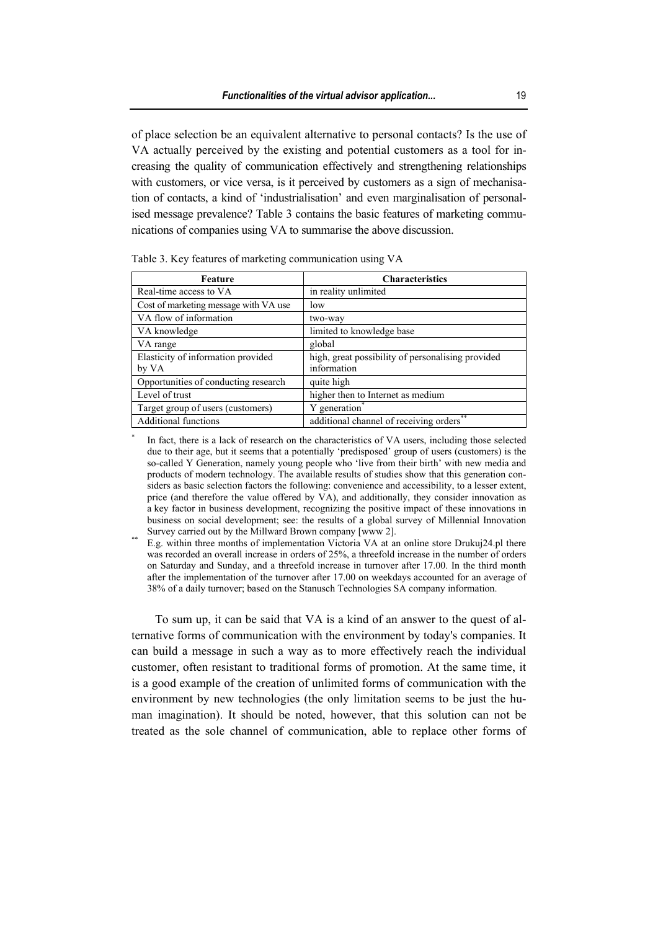of place selection be an equivalent alternative to personal contacts? Is the use of VA actually perceived by the existing and potential customers as a tool for increasing the quality of communication effectively and strengthening relationships with customers, or vice versa, is it perceived by customers as a sign of mechanisation of contacts, a kind of 'industrialisation' and even marginalisation of personalised message prevalence? Table 3 contains the basic features of marketing communications of companies using VA to summarise the above discussion.

| Feature                               | <b>Characteristics</b>                              |
|---------------------------------------|-----------------------------------------------------|
| Real-time access to VA                | in reality unlimited                                |
| Cost of marketing message with VA use | low                                                 |
| VA flow of information                | two-way                                             |
| VA knowledge                          | limited to knowledge base                           |
| VA range                              | global                                              |
| Elasticity of information provided    | high, great possibility of personalising provided   |
| by VA                                 | information                                         |
| Opportunities of conducting research  | quite high                                          |
| Level of trust                        | higher then to Internet as medium                   |
| Target group of users (customers)     | Y generation <sup>*</sup>                           |
| <b>Additional functions</b>           | additional channel of receiving orders <sup>®</sup> |

Table 3. Key features of marketing communication using VA

\*

 In fact, there is a lack of research on the characteristics of VA users, including those selected due to their age, but it seems that a potentially 'predisposed' group of users (customers) is the so-called Y Generation, namely young people who 'live from their birth' with new media and products of modern technology. The available results of studies show that this generation considers as basic selection factors the following: convenience and accessibility, to a lesser extent, price (and therefore the value offered by VA), and additionally, they consider innovation as a key factor in business development, recognizing the positive impact of these innovations in business on social development; see: the results of a global survey of Millennial Innovation Survey carried out by the Millward Brown company [www 2].

E.g. within three months of implementation Victoria VA at an online store Drukuj24.pl there was recorded an overall increase in orders of 25%, a threefold increase in the number of orders on Saturday and Sunday, and a threefold increase in turnover after 17.00. In the third month after the implementation of the turnover after 17.00 on weekdays accounted for an average of 38% of a daily turnover; based on the Stanusch Technologies SA company information.

To sum up, it can be said that VA is a kind of an answer to the quest of alternative forms of communication with the environment by today's companies. It can build a message in such a way as to more effectively reach the individual customer, often resistant to traditional forms of promotion. At the same time, it is a good example of the creation of unlimited forms of communication with the environment by new technologies (the only limitation seems to be just the human imagination). It should be noted, however, that this solution can not be treated as the sole channel of communication, able to replace other forms of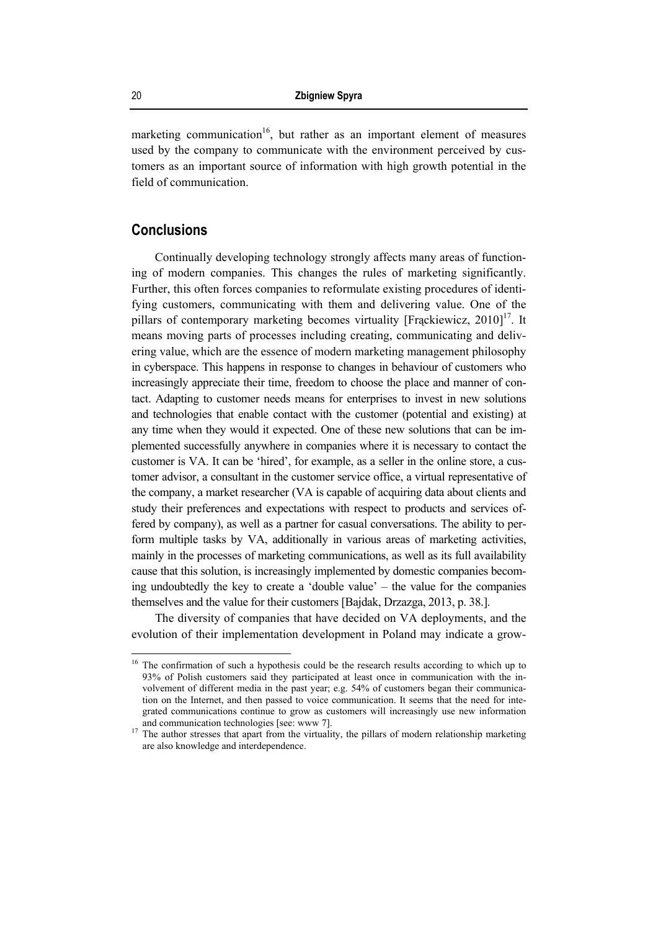marketing communication<sup>16</sup>, but rather as an important element of measures used by the company to communicate with the environment perceived by customers as an important source of information with high growth potential in the field of communication.

## **Conclusions**

Continually developing technology strongly affects many areas of functioning of modern companies. This changes the rules of marketing significantly. Further, this often forces companies to reformulate existing procedures of identifying customers, communicating with them and delivering value. One of the pillars of contemporary marketing becomes virtuality [Frąckiewicz,  $2010$ ]<sup>17</sup>. It means moving parts of processes including creating, communicating and delivering value, which are the essence of modern marketing management philosophy in cyberspace. This happens in response to changes in behaviour of customers who increasingly appreciate their time, freedom to choose the place and manner of contact. Adapting to customer needs means for enterprises to invest in new solutions and technologies that enable contact with the customer (potential and existing) at any time when they would it expected. One of these new solutions that can be implemented successfully anywhere in companies where it is necessary to contact the customer is VA. It can be 'hired', for example, as a seller in the online store, a customer advisor, a consultant in the customer service office, a virtual representative of the company, a market researcher (VA is capable of acquiring data about clients and study their preferences and expectations with respect to products and services offered by company), as well as a partner for casual conversations. The ability to perform multiple tasks by VA, additionally in various areas of marketing activities, mainly in the processes of marketing communications, as well as its full availability cause that this solution, is increasingly implemented by domestic companies becoming undoubtedly the key to create a 'double value' – the value for the companies themselves and the value for their customers [Bajdak, Drzazga, 2013, p. 38.].

The diversity of companies that have decided on VA deployments, and the evolution of their implementation development in Poland may indicate a grow-

<sup>&</sup>lt;sup>16</sup> The confirmation of such a hypothesis could be the research results according to which up to 93% of Polish customers said they participated at least once in communication with the involvement of different media in the past year; e.g. 54% of customers began their communication on the Internet, and then passed to voice communication. It seems that the need for integrated communications continue to grow as customers will increasingly use new information and communication technologies [see: www 7].<br><sup>17</sup> The author stresses that apart from the virtuality, the pillars of modern relationship marketing

are also knowledge and interdependence.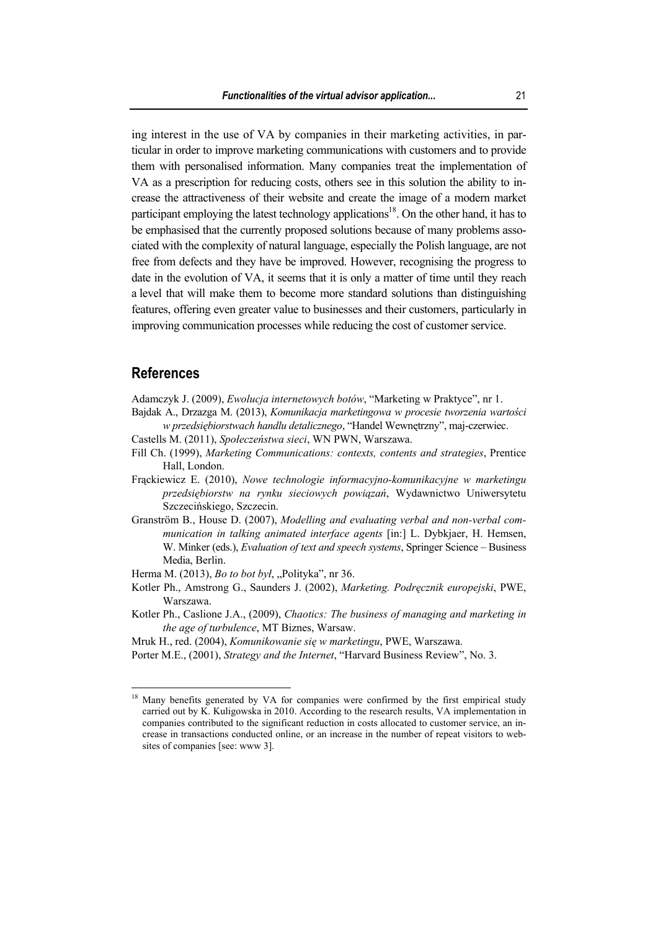ing interest in the use of VA by companies in their marketing activities, in particular in order to improve marketing communications with customers and to provide them with personalised information. Many companies treat the implementation of VA as a prescription for reducing costs, others see in this solution the ability to increase the attractiveness of their website and create the image of a modern market participant employing the latest technology applications<sup>18</sup>. On the other hand, it has to be emphasised that the currently proposed solutions because of many problems associated with the complexity of natural language, especially the Polish language, are not free from defects and they have be improved. However, recognising the progress to date in the evolution of VA, it seems that it is only a matter of time until they reach a level that will make them to become more standard solutions than distinguishing features, offering even greater value to businesses and their customers, particularly in improving communication processes while reducing the cost of customer service.

#### **References**

 $\overline{a}$ 

Adamczyk J. (2009), *Ewolucja internetowych botów*, "Marketing w Praktyce", nr 1.

Bajdak A., Drzazga M. (2013), *Komunikacja marketingowa w procesie tworzenia wartości w przedsiębiorstwach handlu detalicznego*, "Handel Wewnętrzny", maj-czerwiec.

- Castells M. (2011), *Społeczeństwa sieci*, WN PWN, Warszawa.
- Fill Ch. (1999), *Marketing Communications: contexts, contents and strategies*, Prentice Hall, London.
- Frąckiewicz E. (2010), *Nowe technologie informacyjno-komunikacyjne w marketingu przedsiębiorstw na rynku sieciowych powiązań*, Wydawnictwo Uniwersytetu Szczecińskiego, Szczecin.
- Granström B., House D. (2007), *Modelling and evaluating verbal and non-verbal communication in talking animated interface agents* [in:] L. Dybkjaer, H. Hemsen, W. Minker (eds.), *Evaluation of text and speech systems*, Springer Science – Business Media, Berlin.
- Herma M. (2013), *Bo to bot był*, "Polityka", nr 36.
- Kotler Ph., Amstrong G., Saunders J. (2002), *Marketing. Podręcznik europejski*, PWE, Warszawa.
- Kotler Ph., Caslione J.A., (2009), *Chaotics: The business of managing and marketing in the age of turbulence*, MT Biznes, Warsaw.
- Mruk H., red. (2004), *Komunikowanie się w marketingu*, PWE, Warszawa.
- Porter M.E., (2001), *Strategy and the Internet*, "Harvard Business Review", No. 3.

<sup>&</sup>lt;sup>18</sup> Many benefits generated by VA for companies were confirmed by the first empirical study carried out by K. Kuligowska in 2010. According to the research results, VA implementation in companies contributed to the significant reduction in costs allocated to customer service, an increase in transactions conducted online, or an increase in the number of repeat visitors to websites of companies [see: www 3].